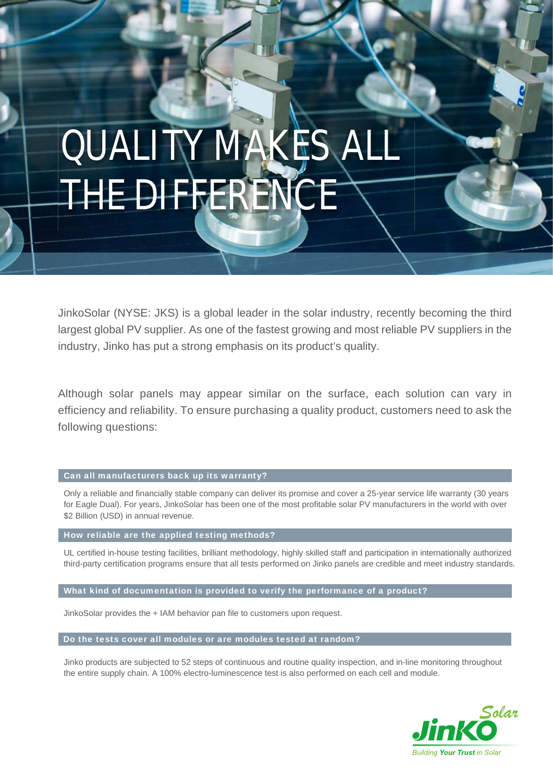# QUALITY MAKES ALL THE DIFFERENCE

JinkoSolar (NYSE: JKS) is a global leader in the solar industry, recently becoming the third largest global PV supplier. As one of the fastest growing and most reliable PV suppliers in the industry, Jinko has put a strong emphasis on its product's quality.

Although solar panels may appear similar on the surface, each solution can vary in efficiency and reliability. To ensure purchasing a quality product, customers need to ask the following questions:

### Can all manufacturers back up its warranty?

Only a reliable and financially stable company can deliver its promise and cover a 25-year service life warranty (30 years for Eagle Dual). For years, JinkoSolar has been one of the most profitable solar PV manufacturers in the world with over \$2 Billion (USD) in annual revenue.

### How reliable are the applied testing methods?

 third-party certification programs ensure that all tests performed on Jinko panels are credible and meet industry standards. UL certified in-house testing facilities, brilliant methodology, highly skilled staff and participation in internationally authorized

What kind of documentation is provided to verify the performance of a product?

JinkoSolar provides the + IAM behavior pan file to customers upon request.

Do the tests cover all modules or are modules tested at random?

Jinko products are subjected to 52 steps of continuous and routine quality inspection, and in-line monitoring throughout the entire supply chain. A 100% electro-luminescence test is also performed on each cell and module.

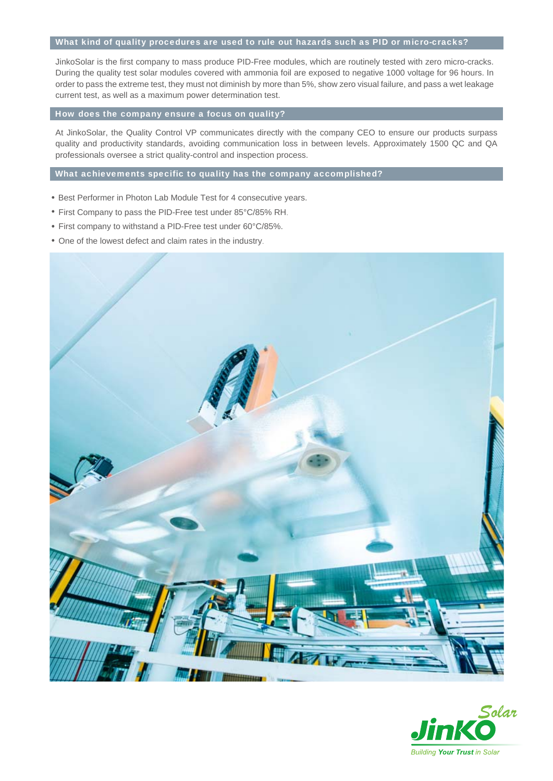### What kind of quality procedures are used to rule out hazards such as PID or micro-cracks?

JinkoSolar is the first company to mass produce PID-Free modules, which are routinely tested with zero micro-cracks. During the quality test solar modules covered with ammonia foil are exposed to negative 1000 voltage for 96 hours. In order to pass the extreme test, they must not diminish by more than 5%, show zero visual failure, and pass a wet leakage current test, as well as a maximum power determination test.

### How does the company ensure a focus on quality?

At JinkoSolar, the Quality Control VP communicates directly with the company CEO to ensure our products surpass quality and productivity standards, avoiding communication loss in between levels. Approximately 1500 QC and QA professionals oversee a strict quality-control and inspection process.

### What achievements specific to quality has the company accomplished?

- Best Performer in Photon Lab Module Test for 4 consecutive years.
- First Company to pass the PID-Free test under 85°C/85% RH.
- First company to withstand a PID-Free test under 60°C/85%.
- One of the lowest defect and claim rates in the industry.



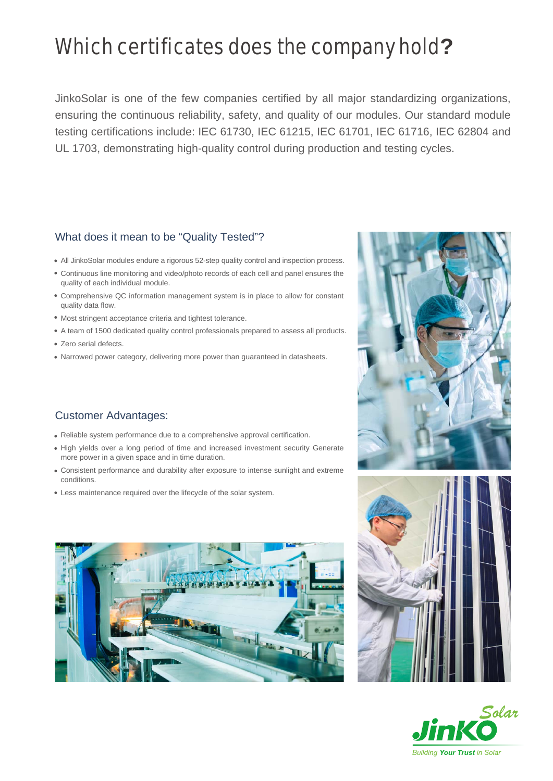# Which certificates does the company hold**?**

JinkoSolar is one of the few companies certified by all major standardizing organizations, ensuring the continuous reliability, safety, and quality of our modules. Our standard module testing certifications include: IEC 61730, IEC 61215, IEC 61701, IEC 61716, IEC 62804 and UL 1703, demonstrating high-quality control during production and testing cycles.

# What does it mean to be "Quality Tested"?

- All JinkoSolar modules endure a rigorous 52-step quality control and inspection process.
- Continuous line monitoring and video/photo records of each cell and panel ensures the quality of each individual module.
- Comprehensive QC information management system is in place to allow for constant quality data flow.
- Most stringent acceptance criteria and tightest tolerance.
- A team of 1500 dedicated quality control professionals prepared to assess all products.
- Zero serial defects.
- Narrowed power category, delivering more power than guaranteed in datasheets.

# Customer Advantages:

- Reliable system performance due to a comprehensive approval certification.
- High yields over a long period of time and increased investment security Generate more power in a given space and in time duration.
- Consistent performance and durability after exposure to intense sunlight and extreme conditions.
- Less maintenance required over the lifecycle of the solar system.